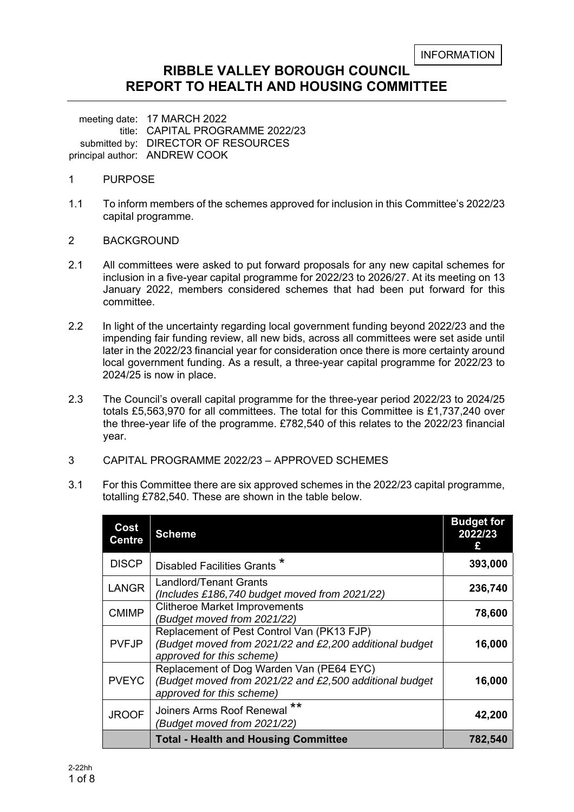# **RIBBLE VALLEY BOROUGH COUNCIL REPORT TO HEALTH AND HOUSING COMMITTEE**

meeting date: 17 MARCH 2022 title: CAPITAL PROGRAMME 2022/23 submitted by: DIRECTOR OF RESOURCES principal author: ANDREW COOK

- 1 PURPOSE
- 1.1 To inform members of the schemes approved for inclusion in this Committee's 2022/23 capital programme.
- 2 BACKGROUND
- 2.1 All committees were asked to put forward proposals for any new capital schemes for inclusion in a five-year capital programme for 2022/23 to 2026/27. At its meeting on 13 January 2022, members considered schemes that had been put forward for this committee.
- 2.2 In light of the uncertainty regarding local government funding beyond 2022/23 and the impending fair funding review, all new bids, across all committees were set aside until later in the 2022/23 financial year for consideration once there is more certainty around local government funding. As a result, a three-year capital programme for 2022/23 to 2024/25 is now in place.
- 2.3 The Council's overall capital programme for the three-year period 2022/23 to 2024/25 totals £5,563,970 for all committees. The total for this Committee is £1,737,240 over the three-year life of the programme. £782,540 of this relates to the 2022/23 financial year.
- 3 CAPITAL PROGRAMME 2022/23 APPROVED SCHEMES
- 3.1 For this Committee there are six approved schemes in the 2022/23 capital programme, totalling £782,540. These are shown in the table below.

| Cost<br><b>Centre</b> | <b>Scheme</b>                                                                                                                      | <b>Budget for</b><br>2022/23<br>£ |
|-----------------------|------------------------------------------------------------------------------------------------------------------------------------|-----------------------------------|
| <b>DISCP</b>          | Disabled Facilities Grants <sup>*</sup>                                                                                            | 393,000                           |
| <b>LANGR</b>          | Landlord/Tenant Grants<br>(Includes £186,740 budget moved from 2021/22)                                                            | 236,740                           |
| <b>CMIMP</b>          | <b>Clitheroe Market Improvements</b><br>(Budget moved from 2021/22)                                                                | 78,600                            |
| <b>PVFJP</b>          | Replacement of Pest Control Van (PK13 FJP)<br>(Budget moved from 2021/22 and £2,200 additional budget<br>approved for this scheme) | 16,000                            |
| <b>PVEYC</b>          | Replacement of Dog Warden Van (PE64 EYC)<br>(Budget moved from 2021/22 and £2,500 additional budget<br>approved for this scheme)   | 16,000                            |
| <b>JROOF</b>          | **<br>Joiners Arms Roof Renewal<br>(Budget moved from 2021/22)                                                                     | 42,200                            |
|                       | <b>Total - Health and Housing Committee</b>                                                                                        | 782,540                           |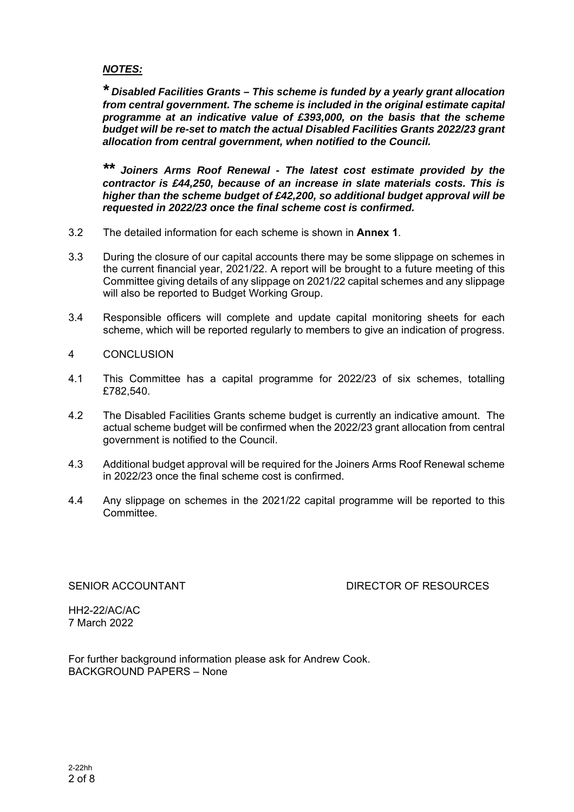#### *NOTES:*

*\* Disabled Facilities Grants – This scheme is funded by a yearly grant allocation from central government. The scheme is included in the original estimate capital programme at an indicative value of £393,000, on the basis that the scheme budget will be re-set to match the actual Disabled Facilities Grants 2022/23 grant allocation from central government, when notified to the Council.* 

*\*\* Joiners Arms Roof Renewal - The latest cost estimate provided by the contractor is £44,250, because of an increase in slate materials costs. This is higher than the scheme budget of £42,200, so additional budget approval will be requested in 2022/23 once the final scheme cost is confirmed.* 

- 3.2 The detailed information for each scheme is shown in **Annex 1**.
- 3.3 During the closure of our capital accounts there may be some slippage on schemes in the current financial year, 2021/22. A report will be brought to a future meeting of this Committee giving details of any slippage on 2021/22 capital schemes and any slippage will also be reported to Budget Working Group.
- 3.4 Responsible officers will complete and update capital monitoring sheets for each scheme, which will be reported regularly to members to give an indication of progress.
- 4 CONCLUSION
- 4.1 This Committee has a capital programme for 2022/23 of six schemes, totalling £782,540.
- 4.2 The Disabled Facilities Grants scheme budget is currently an indicative amount. The actual scheme budget will be confirmed when the 2022/23 grant allocation from central government is notified to the Council.
- 4.3 Additional budget approval will be required for the Joiners Arms Roof Renewal scheme in 2022/23 once the final scheme cost is confirmed.
- 4.4 Any slippage on schemes in the 2021/22 capital programme will be reported to this Committee.

#### SENIOR ACCOUNTANT **EXECUTE:** DIRECTOR OF RESOURCES

HH2-22/AC/AC 7 March 2022

For further background information please ask for Andrew Cook. BACKGROUND PAPERS – None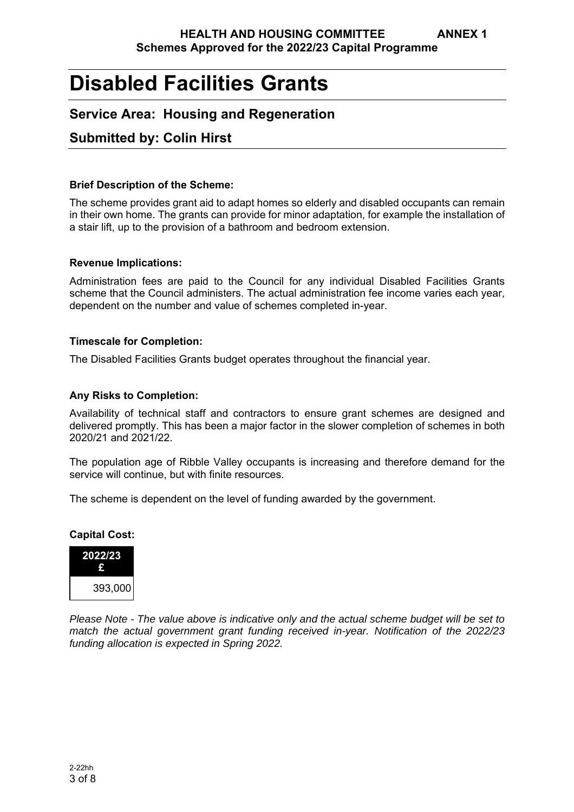# **Disabled Facilities Grants**

# **Service Area: Housing and Regeneration**

# **Submitted by: Colin Hirst**

#### **Brief Description of the Scheme:**

The scheme provides grant aid to adapt homes so elderly and disabled occupants can remain in their own home. The grants can provide for minor adaptation, for example the installation of a stair lift, up to the provision of a bathroom and bedroom extension.

#### **Revenue Implications:**

Administration fees are paid to the Council for any individual Disabled Facilities Grants scheme that the Council administers. The actual administration fee income varies each year, dependent on the number and value of schemes completed in-year.

#### **Timescale for Completion:**

The Disabled Facilities Grants budget operates throughout the financial year.

#### **Any Risks to Completion:**

Availability of technical staff and contractors to ensure grant schemes are designed and delivered promptly. This has been a major factor in the slower completion of schemes in both 2020/21 and 2021/22.

The population age of Ribble Valley occupants is increasing and therefore demand for the service will continue, but with finite resources.

The scheme is dependent on the level of funding awarded by the government.

# **Capital Cost: 2022/23 £**  393,000

*Please Note - The value above is indicative only and the actual scheme budget will be set to match the actual government grant funding received in-year. Notification of the 2022/23 funding allocation is expected in Spring 2022.*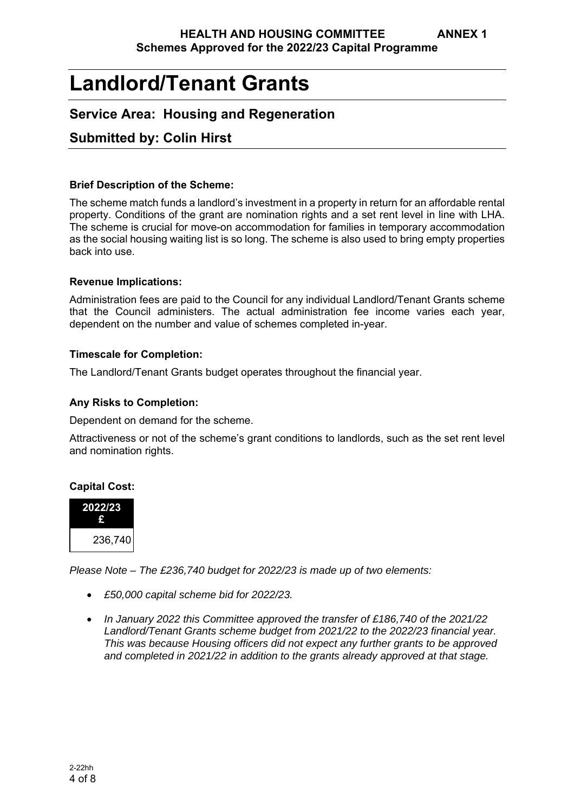# **Landlord/Tenant Grants**

# **Service Area: Housing and Regeneration**

# **Submitted by: Colin Hirst**

#### **Brief Description of the Scheme:**

The scheme match funds a landlord's investment in a property in return for an affordable rental property. Conditions of the grant are nomination rights and a set rent level in line with LHA. The scheme is crucial for move-on accommodation for families in temporary accommodation as the social housing waiting list is so long. The scheme is also used to bring empty properties back into use.

#### **Revenue Implications:**

Administration fees are paid to the Council for any individual Landlord/Tenant Grants scheme that the Council administers. The actual administration fee income varies each year, dependent on the number and value of schemes completed in-year.

#### **Timescale for Completion:**

The Landlord/Tenant Grants budget operates throughout the financial year.

### **Any Risks to Completion:**

Dependent on demand for the scheme.

Attractiveness or not of the scheme's grant conditions to landlords, such as the set rent level and nomination rights.

### **Capital Cost:**



*Please Note – The £236,740 budget for 2022/23 is made up of two elements:* 

- *£50,000 capital scheme bid for 2022/23.*
- *In January 2022 this Committee approved the transfer of £186,740 of the 2021/22 Landlord/Tenant Grants scheme budget from 2021/22 to the 2022/23 financial year. This was because Housing officers did not expect any further grants to be approved and completed in 2021/22 in addition to the grants already approved at that stage.*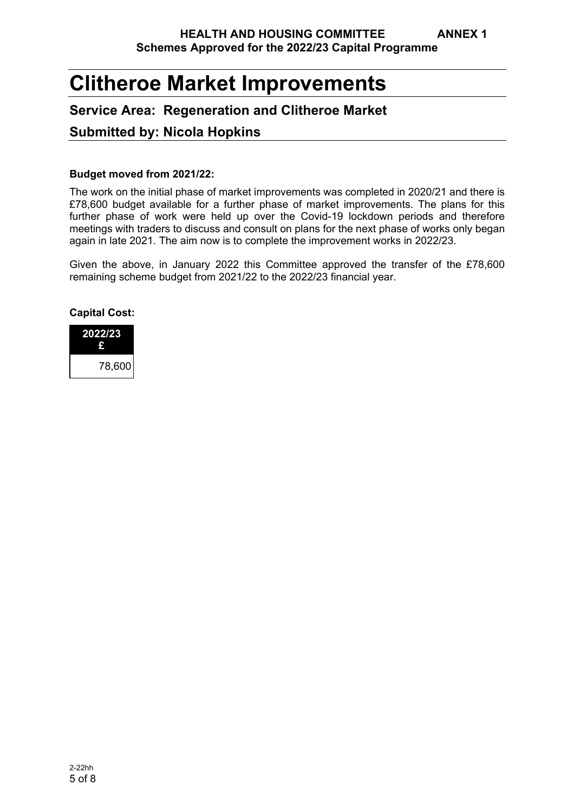# **Clitheroe Market Improvements**

# **Service Area: Regeneration and Clitheroe Market**

# **Submitted by: Nicola Hopkins**

#### **Budget moved from 2021/22:**

The work on the initial phase of market improvements was completed in 2020/21 and there is £78,600 budget available for a further phase of market improvements. The plans for this further phase of work were held up over the Covid-19 lockdown periods and therefore meetings with traders to discuss and consult on plans for the next phase of works only began again in late 2021. The aim now is to complete the improvement works in 2022/23.

Given the above, in January 2022 this Committee approved the transfer of the £78,600 remaining scheme budget from 2021/22 to the 2022/23 financial year.

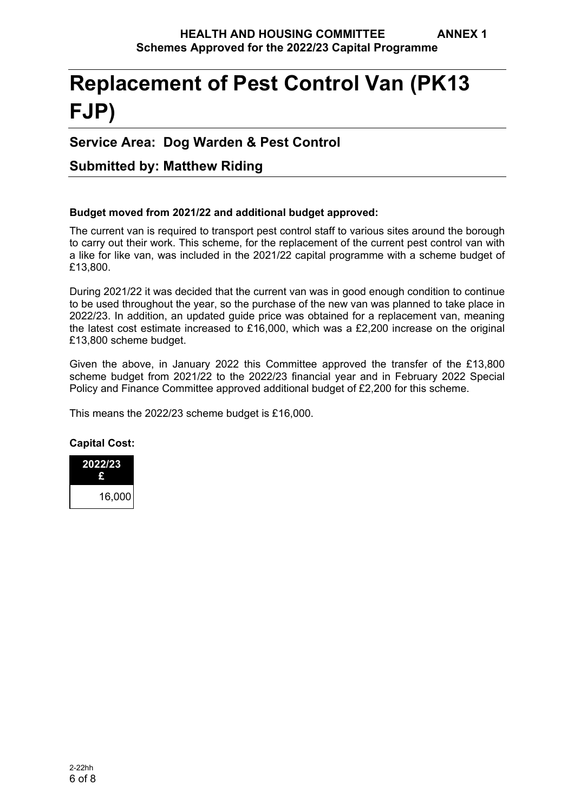# **Replacement of Pest Control Van (PK13 FJP)**

# **Service Area: Dog Warden & Pest Control**

# **Submitted by: Matthew Riding**

### **Budget moved from 2021/22 and additional budget approved:**

The current van is required to transport pest control staff to various sites around the borough to carry out their work. This scheme, for the replacement of the current pest control van with a like for like van, was included in the 2021/22 capital programme with a scheme budget of £13,800.

During 2021/22 it was decided that the current van was in good enough condition to continue to be used throughout the year, so the purchase of the new van was planned to take place in 2022/23. In addition, an updated guide price was obtained for a replacement van, meaning the latest cost estimate increased to £16,000, which was a £2,200 increase on the original £13,800 scheme budget.

Given the above, in January 2022 this Committee approved the transfer of the £13,800 scheme budget from 2021/22 to the 2022/23 financial year and in February 2022 Special Policy and Finance Committee approved additional budget of £2,200 for this scheme.

This means the 2022/23 scheme budget is £16,000.

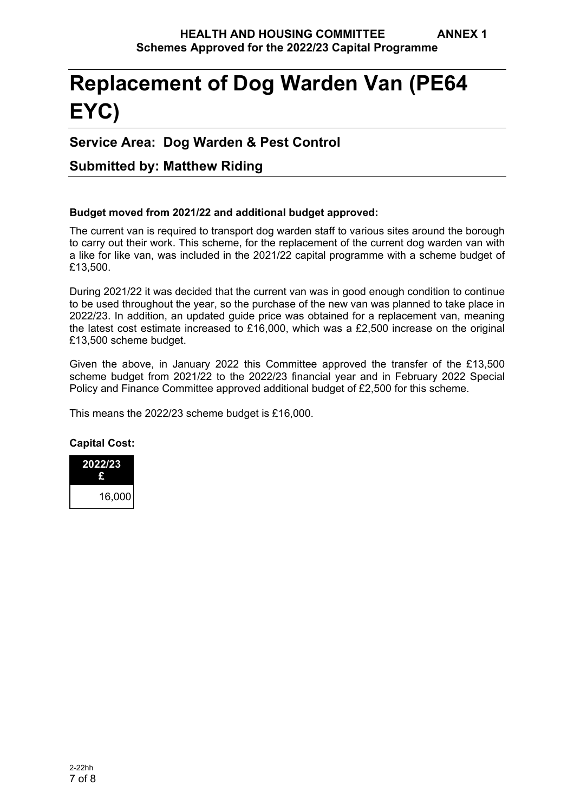# **Replacement of Dog Warden Van (PE64 EYC)**

# **Service Area: Dog Warden & Pest Control**

# **Submitted by: Matthew Riding**

### **Budget moved from 2021/22 and additional budget approved:**

The current van is required to transport dog warden staff to various sites around the borough to carry out their work. This scheme, for the replacement of the current dog warden van with a like for like van, was included in the 2021/22 capital programme with a scheme budget of £13,500.

During 2021/22 it was decided that the current van was in good enough condition to continue to be used throughout the year, so the purchase of the new van was planned to take place in 2022/23. In addition, an updated guide price was obtained for a replacement van, meaning the latest cost estimate increased to £16,000, which was a £2,500 increase on the original £13,500 scheme budget.

Given the above, in January 2022 this Committee approved the transfer of the £13,500 scheme budget from 2021/22 to the 2022/23 financial year and in February 2022 Special Policy and Finance Committee approved additional budget of £2,500 for this scheme.

This means the 2022/23 scheme budget is £16,000.